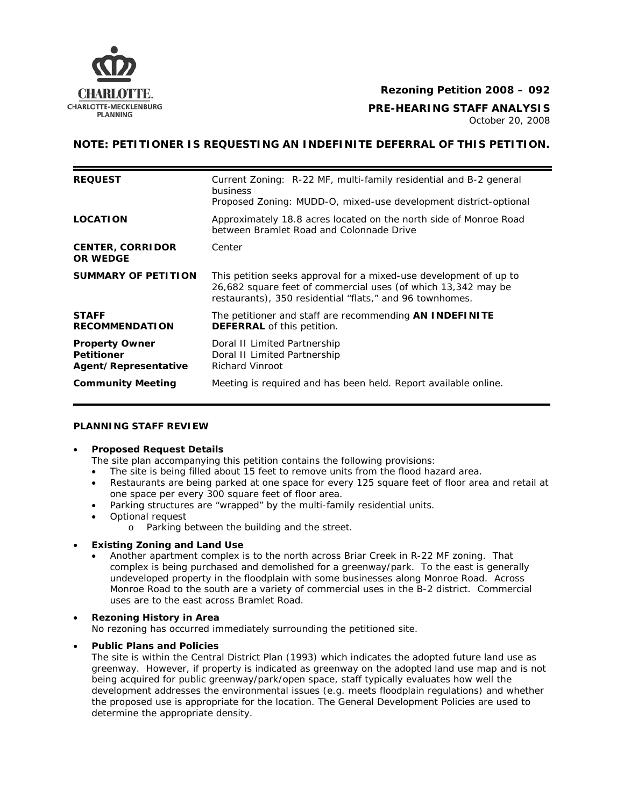

## **Rezoning Petition 2008 – 092**

# **CHARLOTTE-MECKLENBURG**<br>PLANNING PLANNING

October 20, 2008

## **NOTE: PETITIONER IS REQUESTING AN INDEFINITE DEFERRAL OF THIS PETITION.**

| <b>REQUEST</b>                                                     | Current Zoning: R-22 MF, multi-family residential and B-2 general<br>business<br>Proposed Zoning: MUDD-O, mixed-use development district-optional                                              |  |
|--------------------------------------------------------------------|------------------------------------------------------------------------------------------------------------------------------------------------------------------------------------------------|--|
| <b>LOCATION</b>                                                    | Approximately 18.8 acres located on the north side of Monroe Road<br>between Bramlet Road and Colonnade Drive                                                                                  |  |
| <b>CENTER, CORRIDOR</b><br><b>OR WEDGE</b>                         | Center                                                                                                                                                                                         |  |
| <b>SUMMARY OF PETITION</b>                                         | This petition seeks approval for a mixed-use development of up to<br>26,682 square feet of commercial uses (of which 13,342 may be<br>restaurants), 350 residential "flats," and 96 townhomes. |  |
| <b>STAFF</b><br><b>RECOMMENDATION</b>                              | The petitioner and staff are recommending <b>AN INDEFINITE</b><br><b>DEFERRAL</b> of this petition.                                                                                            |  |
| <b>Property Owner</b><br><b>Petitioner</b><br>Agent/Representative | Doral II Limited Partnership<br>Doral II Limited Partnership<br><b>Richard Vinroot</b>                                                                                                         |  |
| <b>Community Meeting</b>                                           | Meeting is required and has been held. Report available online.                                                                                                                                |  |

#### **PLANNING STAFF REVIEW**

#### • **Proposed Request Details**

The site plan accompanying this petition contains the following provisions:

- The site is being filled about 15 feet to remove units from the flood hazard area.
- Restaurants are being parked at one space for every 125 square feet of floor area and retail at one space per every 300 square feet of floor area.
	- Parking structures are "wrapped" by the multi-family residential units.
- Optional request
	- o Parking between the building and the street.

## • **Existing Zoning and Land Use**

• Another apartment complex is to the north across Briar Creek in R-22 MF zoning. That complex is being purchased and demolished for a greenway/park. To the east is generally undeveloped property in the floodplain with some businesses along Monroe Road. Across Monroe Road to the south are a variety of commercial uses in the B-2 district. Commercial uses are to the east across Bramlet Road.

## • **Rezoning History in Area**

No rezoning has occurred immediately surrounding the petitioned site.

## • **Public Plans and Policies**

The site is within *the Central District Plan* (1993) which indicates the adopted future land use as greenway. However, if property is indicated as greenway on the adopted land use map and is not being acquired for public greenway/park/open space, staff typically evaluates how well the development addresses the environmental issues (e.g. meets floodplain regulations) and whether the proposed use is appropriate for the location. The *General Development Policies* are used to determine the appropriate density.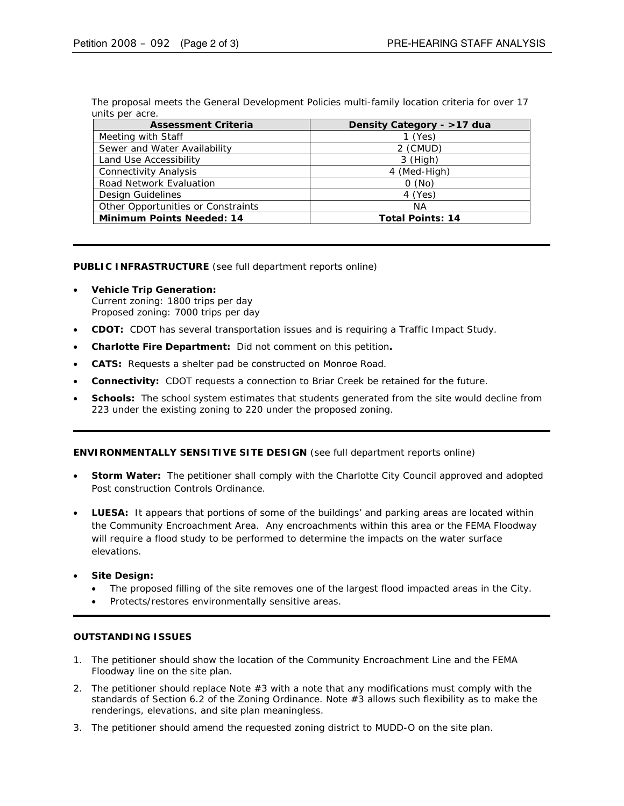The proposal meets the *General Development Policies* multi-family location criteria for over 17 units per acre.

| <b>Assessment Criteria</b>         | Density Category - >17 dua |
|------------------------------------|----------------------------|
| Meeting with Staff                 | $1$ (Yes)                  |
| Sewer and Water Availability       | 2 (CMUD)                   |
| Land Use Accessibility             | 3 (High)                   |
| <b>Connectivity Analysis</b>       | 4 (Med-High)               |
| <b>Road Network Evaluation</b>     | O(No)                      |
| Design Guidelines                  | 4 (Yes)                    |
| Other Opportunities or Constraints | NА                         |
| <b>Minimum Points Needed: 14</b>   | <b>Total Points: 14</b>    |

**PUBLIC INFRASTRUCTURE** (see full department reports online)

- **Vehicle Trip Generation:** Current zoning: 1800 trips per day Proposed zoning: 7000 trips per day
- **CDOT:** CDOT has several transportation issues and is requiring a Traffic Impact Study.
- **Charlotte Fire Department:** Did not comment on this petition**.**
- **CATS:** Requests a shelter pad be constructed on Monroe Road.
- **Connectivity:** CDOT requests a connection to Briar Creek be retained for the future.
- **Schools:** The school system estimates that students generated from the site would decline from 223 under the existing zoning to 220 under the proposed zoning.

**ENVIRONMENTALLY SENSITIVE SITE DESIGN** (see full department reports online)

- **Storm Water:** The petitioner shall comply with the Charlotte City Council approved and adopted Post construction Controls Ordinance.
- **LUESA:** It appears that portions of some of the buildings' and parking areas are located within the Community Encroachment Area. Any encroachments within this area or the FEMA Floodway will require a flood study to be performed to determine the impacts on the water surface elevations.
- **Site Design:**
	- The proposed filling of the site removes one of the largest flood impacted areas in the City.
	- Protects/restores environmentally sensitive areas.

#### **OUTSTANDING ISSUES**

- 1. The petitioner should show the location of the Community Encroachment Line and the FEMA Floodway line on the site plan.
- 2. The petitioner should replace Note #3 with a note that any modifications must comply with the standards of Section 6.2 of the Zoning Ordinance. Note #3 allows such flexibility as to make the renderings, elevations, and site plan meaningless.
- 3. The petitioner should amend the requested zoning district to MUDD-O on the site plan.